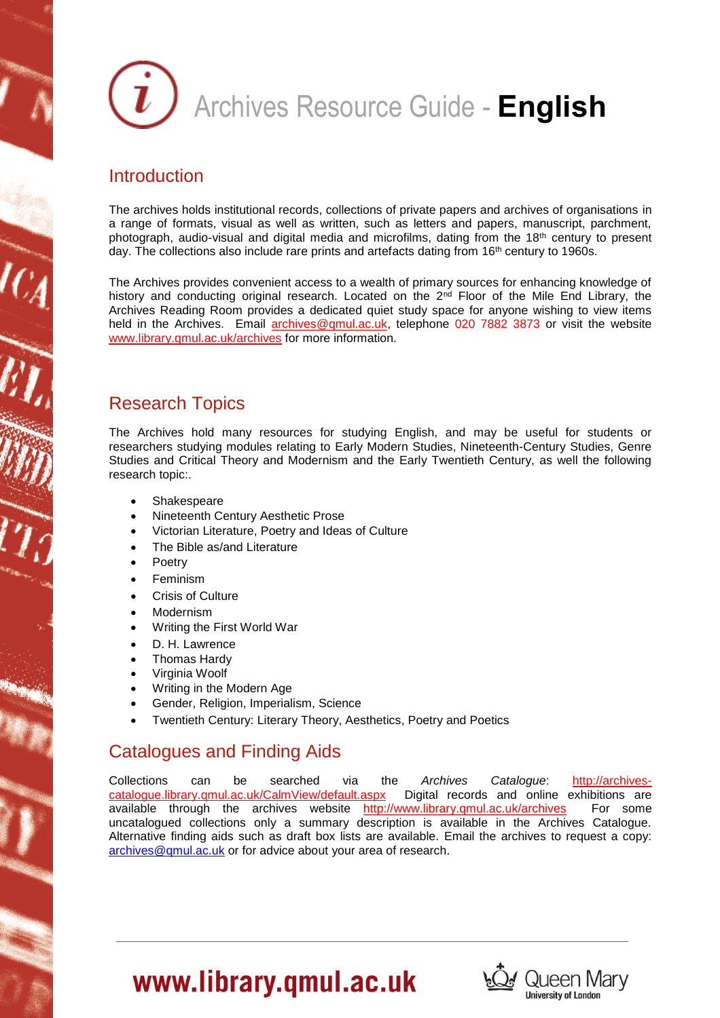

#### **Introduction**

The archives holds institutional records, collections of private papers and archives of organisations in a range of formats, visual as well as written, such as letters and papers, manuscript, parchment, photograph, audio-visual and digital media and microfilms, dating from the 18th century to present day. The collections also include rare prints and artefacts dating from  $16<sup>th</sup>$  century to 1960s.

The Archives provides convenient access to a wealth of primary sources for enhancing knowledge of history and conducting original research. Located on the 2<sup>nd</sup> Floor of the Mile End Library, the Archives Reading Room provides a dedicated quiet study space for anyone wishing to view items held in the Archives. Email [archives@qmul.ac.uk,](mailto:archives@qmul.ac.uk) telephone 020 7882 3873 or visit the website [www.library.qmul.ac.uk/archives](http://www.library.qmul.ac.uk/archives) for more information.

#### Research Topics

The Archives hold many resources for studying English, and may be useful for students or researchers studying modules relating to Early Modern Studies, Nineteenth-Century Studies, Genre Studies and Critical Theory and Modernism and the Early Twentieth Century, as well the following research topic:.

- Shakespeare
- Nineteenth Century Aesthetic Prose
- Victorian Literature, Poetry and Ideas of Culture
- The Bible as/and Literature
- Poetry
- Feminism
- Crisis of Culture
- Modernism
- Writing the First World War
- D. H. Lawrence
- Thomas Hardy
- Virginia Woolf
- Writing in the Modern Age
- Gender, Religion, Imperialism, Science
- Twentieth Century: Literary Theory, Aesthetics, Poetry and Poetics

### Catalogues and Finding Aids

Collections can be searched via the *Archives Catalogue*: [http://archives](http://archives-catalogue.library.qmul.ac.uk/CalmView/default.aspx)catalogue.library.gmul.ac.uk/CalmView/default.aspx Digital records and online exhibitions are available through the archives website <http://www.library.qmul.ac.uk/archives> For some uncatalogued collections only a summary description is available in the Archives Catalogue. Alternative finding aids such as draft box lists are available. Email the archives to request a copy: [archives@qmul.ac.uk](mailto:archives@qmul.ac.uk) or for advice about your area of research.



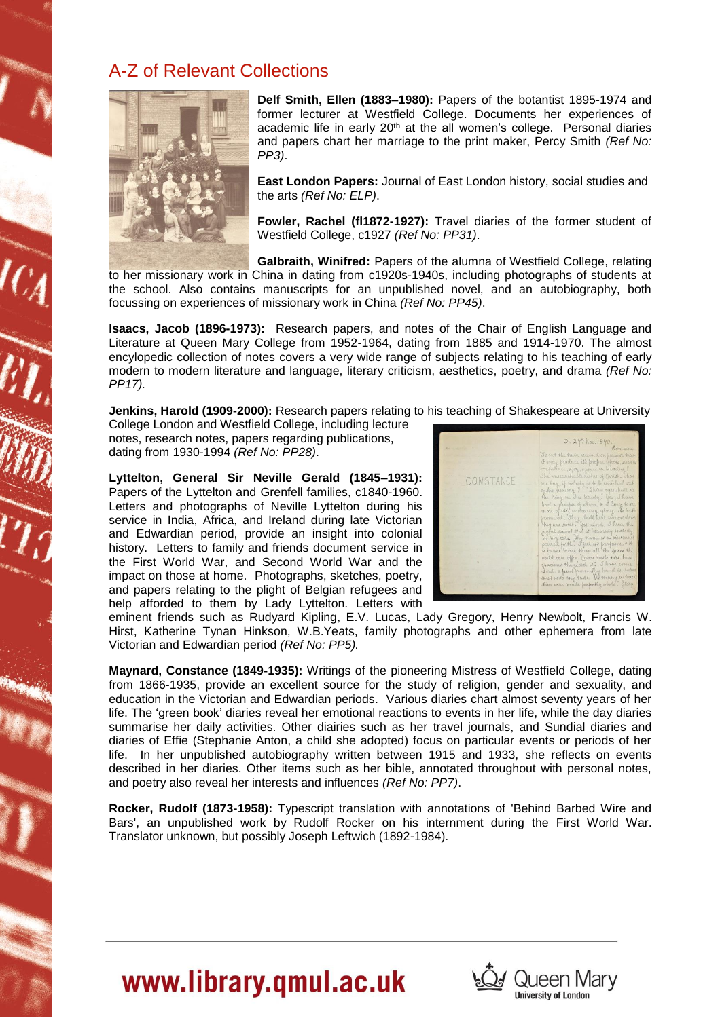#### A-Z of Relevant Collections



**Delf Smith, Ellen (1883–1980):** Papers of the botantist 1895-1974 and former lecturer at Westfield College. Documents her experiences of academic life in early 20<sup>th</sup> at the all women's college. Personal diaries and papers chart her marriage to the print maker, Percy Smith *(Ref No: PP3)*.

**East London Papers:** Journal of East London history, social studies and the arts *(Ref No: ELP)*.

**Fowler, Rachel (fl1872-1927):** Travel diaries of the former student of Westfield College, c1927 *(Ref No: PP31)*.

**Galbraith, Winifred:** Papers of the alumna of Westfield College, relating

to her missionary work in China in dating from c1920s-1940s, including photographs of students at the school. Also contains manuscripts for an unpublished novel, and an autobiography, both focussing on experiences of missionary work in China *(Ref No: PP45)*.

**Isaacs, Jacob (1896-1973):** Research papers, and notes of the Chair of English Language and Literature at Queen Mary College from 1952-1964, dating from 1885 and 1914-1970. The almost encylopedic collection of notes covers a very wide range of subjects relating to his teaching of early modern to modern literature and language, literary criticism, aesthetics, poetry, and drama *(Ref No: PP17).*

**Jenkins, Harold (1909-2000):** Research papers relating to his teaching of Shakespeare at University

College London and Westfield College, including lecture notes, research notes, papers regarding publications, dating from 1930-1994 *(Ref No: PP28)*.

**Lyttelton, General Sir Neville Gerald (1845–1931):** Papers of the Lyttelton and Grenfell families, c1840-1960. Letters and photographs of Neville Lyttelton during his service in India, Africa, and Ireland during late Victorian and Edwardian period, provide an insight into colonial history. Letters to family and friends document service in the First World War, and Second World War and the impact on those at home. Photographs, sketches, poetry, and papers relating to the plight of Belgian refugees and help afforded to them by Lady Lyttelton. Letters with



eminent friends such as Rudyard Kipling, E.V. Lucas, Lady Gregory, Henry Newbolt, Francis W. Hirst, Katherine Tynan Hinkson, W.B.Yeats, family photographs and other ephemera from late Victorian and Edwardian period *(Ref No: PP5).*

**Maynard, Constance (1849-1935):** Writings of the pioneering Mistress of Westfield College, dating from 1866-1935, provide an excellent source for the study of religion, gender and sexuality, and education in the Victorian and Edwardian periods. Various diaries chart almost seventy years of her life. The 'green book' diaries reveal her emotional reactions to events in her life, while the day diaries summarise her daily activities. Other diairies such as her travel journals, and Sundial diaries and diaries of Effie (Stephanie Anton, a child she adopted) focus on particular events or periods of her life. In her unpublished autobiography written between 1915 and 1933, she reflects on events described in her diaries. Other items such as her bible, annotated throughout with personal notes, and poetry also reveal her interests and influences *(Ref No: PP7)*.

**Rocker, Rudolf (1873-1958):** Typescript translation with annotations of 'Behind Barbed Wire and Bars', an unpublished work by Rudolf Rocker on his internment during the First World War. Translator unknown, but possibly Joseph Leftwich (1892-1984).

# www.library.qmul.ac.uk